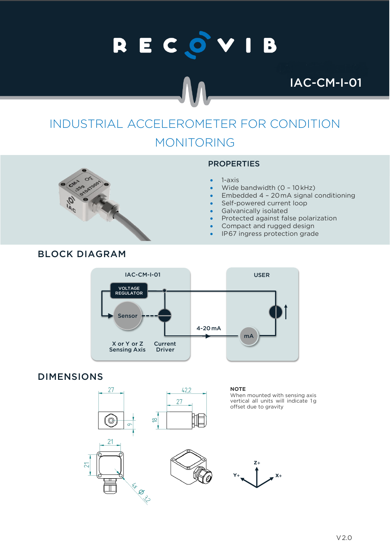# RECOVIB

IAC-CM-I-01

## INDUSTRIAL ACCELEROMETER FOR CONDITION MONITORING



#### PROPERTIES

- 1-axis
- Wide bandwidth (0 10 kHz)
- Embedded 4 20mA signal conditioning
- Self-powered current loop
- Galvanically isolated
- Protected against false polarization
- Compact and rugged design
- IP67 ingress protection grade



#### DIMENSIONS



**NOTE**

When mounted with sensing axis vertical all units will indicate 1g offset due to gravity

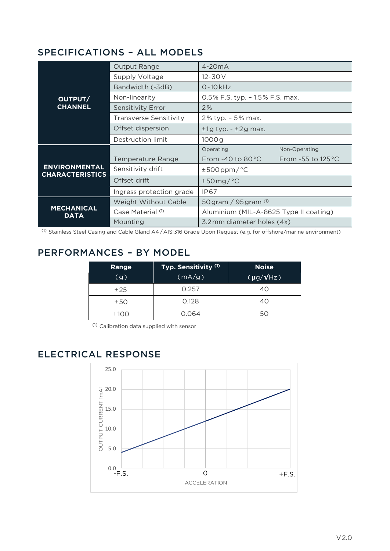#### SPECIFICATIONS – ALL MODELS

| OUTPUT/<br><b>CHANNEL</b>                      | <b>Output Range</b>           | $4-20mA$                               |                             |
|------------------------------------------------|-------------------------------|----------------------------------------|-----------------------------|
|                                                | Supply Voltage                | $12 - 30V$                             |                             |
|                                                | Bandwidth (-3dB)              | $0 - 10$ kHz                           |                             |
|                                                | Non-linearity                 | $0.5\%$ F.S. typ. - 1.5% F.S. max.     |                             |
|                                                | <b>Sensitivity Error</b>      | 2%                                     |                             |
|                                                | <b>Transverse Sensitivity</b> | 2% typ. - 5% max.                      |                             |
|                                                | Offset dispersion             | $±1g$ typ. $-±2g$ max.                 |                             |
|                                                | Destruction limit             | 1000g                                  |                             |
| <b>ENVIRONMENTAL</b><br><b>CHARACTERISTICS</b> |                               | Operating                              | Non-Operating               |
|                                                | <b>Temperature Range</b>      | From $-40$ to $80^{\circ}$ C           | From -55 to $125^{\circ}$ C |
|                                                | Sensitivity drift             | $±500$ ppm/°C                          |                             |
|                                                | Offset drift                  | $\pm$ 50 mg/°C                         |                             |
|                                                | Ingress protection grade      | IP67                                   |                             |
| <b>MECHANICAL</b><br><b>DATA</b>               | <b>Weight Without Cable</b>   | 50 gram / $95$ gram $(1)$              |                             |
|                                                | Case Material (1)             | Aluminium (MIL-A-8625 Type II coating) |                             |
|                                                | Mounting                      | 3.2 mm diameter holes (4x)             |                             |

 $(1)$  Stainless Steel Casing and Cable Gland A4/AISI316 Grade Upon Request (e.g. for offshore/marine environment)

### PERFORMANCES – BY MODEL

| Range<br>(g) | Typ. Sensitivity (1)<br>(mA/g) | <b>Noise</b><br>$(pg/\sqrt{Hz})$ |
|--------------|--------------------------------|----------------------------------|
| ±25          | 0.257                          | 40                               |
| ±50          | 0.128                          | 40                               |
| ±100         | 0.064                          | 50                               |

(1) Calibration data supplied with sensor

### ELECTRICAL RESPONSE